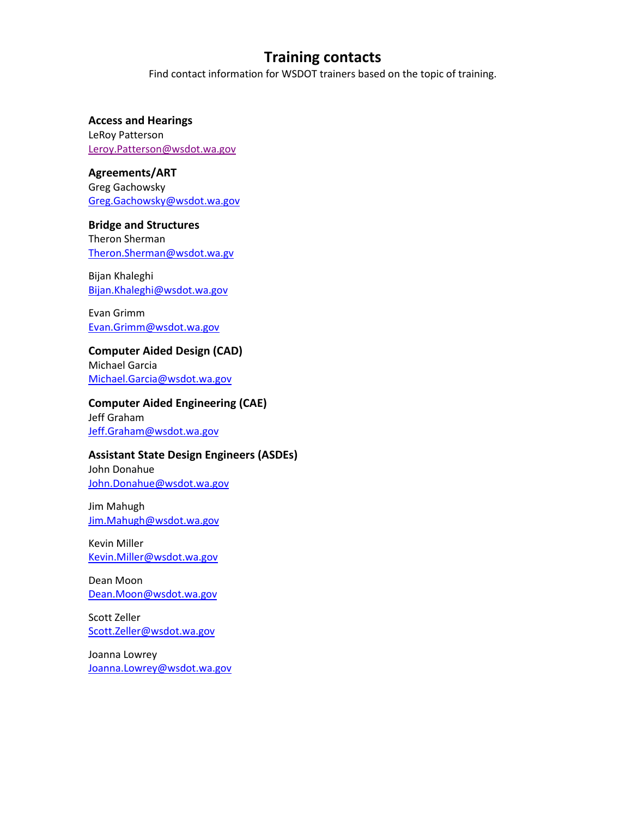Find contact information for WSDOT trainers based on the topic of training.

**Access and Hearings** LeRoy Patterson [Leroy.Patterson@wsdot.wa.gov](mailto:Leroy.Patterson@wsdot.wa.gov)

**Agreements/ART** Greg Gachowsky [Greg.Gachowsky@wsdot.wa.gov](mailto:Greg.Gachowsky@wsdot.wa.gov)

**Bridge and Structures** Theron Sherman [Theron.Sherman@wsdot.wa.gv](mailto:Theron.Sherman@wsdot.wa.gv)

Bijan Khaleghi [Bijan.Khaleghi@wsdot.wa.gov](mailto:Bijan.Khaleghi@wsdot.wa.gov)

Evan Grimm [Evan.Grimm@wsdot.wa.gov](mailto:Evan.Grimm@wsdot.wa.gov)

**Computer Aided Design (CAD)** Michael Garcia

[Michael.Garcia@wsdot.wa.gov](mailto:Michael.Garcia@wsdot.wa.gov)

**Computer Aided Engineering (CAE)** Jeff Graham

[Jeff.Graham@wsdot.wa.gov](mailto:Jeff.Graham@wsdot.wa.gov)

#### **Assistant State Design Engineers (ASDEs)**

John Donahue [John.Donahue@wsdot.wa.gov](mailto:John.Donahue@wsdot.wa.gov)

Jim Mahugh [Jim.Mahugh@wsdot.wa.gov](mailto:Jim.Mahugh@wsdot.wa.gov)

Kevin Miller [Kevin.Miller@wsdot.wa.gov](mailto:Kevin.Miller@wsdot.wa.gov)

Dean Moon [Dean.Moon@wsdot.wa.gov](mailto:Dean.Moon@wsdot.wa.gov)

Scott Zeller [Scott.Zeller@wsdot.wa.gov](mailto:Scott.Zeller@wsdot.wa.gov)

Joanna Lowrey [Joanna.Lowrey@wsdot.wa.gov](mailto:Joanna.Lowrey@wsdot.wa.gov)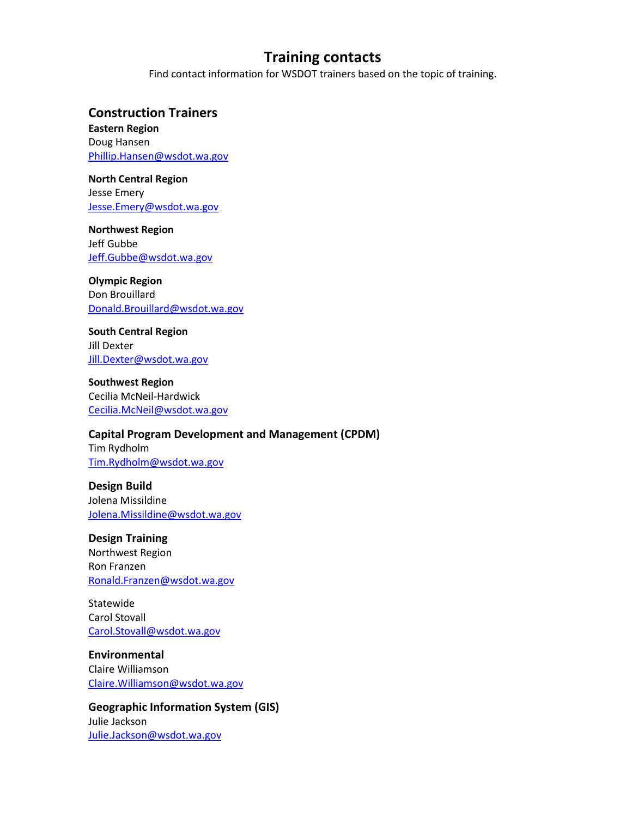Find contact information for WSDOT trainers based on the topic of training.

### **Construction Trainers**

**Eastern Region** Doug Hansen [Phillip.Hansen@wsdot.wa.gov](mailto:Phillip.Hansen@wsdot.wa.gov)

#### **North Central Region**  Jesse Emery [Jesse.Emery@wsdot.wa.gov](mailto:Jesse.Emery@wsdot.wa.gov)

**Northwest Region** Jeff Gubbe [Jeff.Gubbe@wsdot.wa.gov](mailto:Jeff.Gubbe@wsdot.wa.gov)

#### **Olympic Region**

Don Brouillard [Donald.Brouillard@wsdot.wa.gov](mailto:Donald.Brouillard@wsdot.wa.gov)

**South Central Region** Jill Dexter [Jill.Dexter@wsdot.wa.gov](mailto:Jill.Dexter@wsdot.wa.gov)

**Southwest Region** Cecilia McNeil-Hardwick [Cecilia.McNeil@wsdot.wa.gov](mailto:Cecilia.McNeil@wsdot.wa.gov)

#### **Capital Program Development and Management (CPDM)**

Tim Rydholm [Tim.Rydholm@wsdot.wa.gov](mailto:Tim.Rydholm@wsdot.wa.gov)

**Design Build** Jolena Missildine [Jolena.Missildine@wsdot.wa.gov](mailto:Jolena.Missildine@wsdot.wa.gov)

### **Design Training**

Northwest Region Ron Franzen [Ronald.Franzen@wsdot.wa.gov](mailto:Ronald.Franzen@wsdot.wa.gov)

Statewide Carol Stovall [Carol.Stovall@wsdot.wa.gov](mailto:Carol.Stovall@wsdot.wa.gov)

**Environmental** Claire Williamson [Claire.Williamson@wsdot.wa.gov](mailto:Claire.Williamson@wsdot.wa.gov)

**Geographic Information System (GIS)** Julie Jackson [Julie.Jackson@wsdot.wa.gov](mailto:Julie.Jackson@wsdot.wa.gov)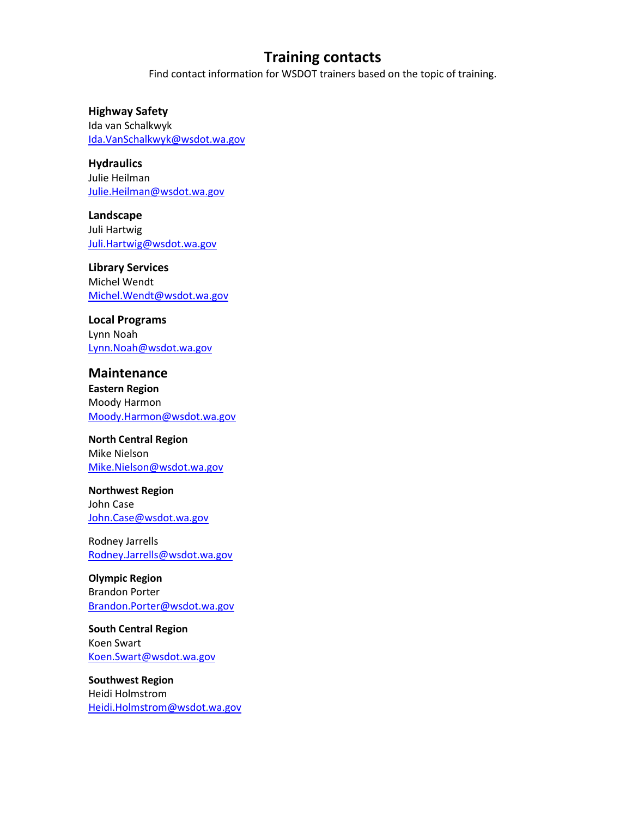Find contact information for WSDOT trainers based on the topic of training.

#### **Highway Safety**

Ida van Schalkwyk [Ida.VanSchalkwyk@wsdot.wa.gov](mailto:Ida.VanSchalkwyk@wsdot.wa.gov)

**Hydraulics** Julie Heilman [Julie.Heilman@wsdot.wa.gov](mailto:Julie.Heilman@wsdot.wa.gov)

**Landscape** Juli Hartwig [Juli.Hartwig@wsdot.wa.gov](mailto:Juli.Hartwig@wsdot.wa.gov)

**Library Services** Michel Wendt [Michel.Wendt@wsdot.wa.gov](mailto:Michel.Wendt@wsdot.wa.gov)

### **Local Programs**

Lynn Noah [Lynn.Noah@wsdot.wa.gov](mailto:Lynn.Noah@wsdot.wa.gov)

## **Maintenance**

**Eastern Region** Moody Harmon [Moody.Harmon@wsdot.wa.gov](mailto:Moody.Harmon@wsdot.wa.gov)

### **North Central Region**

Mike Nielson [Mike.Nielson@wsdot.wa.gov](mailto:Mike.Nielson@wsdot.wa.gov)

**Northwest Region** John Case [John.Case@wsdot.wa.gov](mailto:John.Case@wsdot.wa.gov)

Rodney Jarrells [Rodney.Jarrells@wsdot.wa.gov](mailto:Rodney.Jarrells@wsdot.wa.gov)

**Olympic Region** Brandon Porter [Brandon.Porter@wsdot.wa.gov](mailto:Brandon.Porter@wsdot.wa.gov)

**South Central Region** Koen Swart [Koen.Swart@wsdot.wa.gov](mailto:Koen.Swart@wsdot.wa.gov)

**Southwest Region** Heidi Holmstrom [Heidi.Holmstrom@wsdot.wa.gov](mailto:Heidi.Holmstrom@wsdot.wa.gov)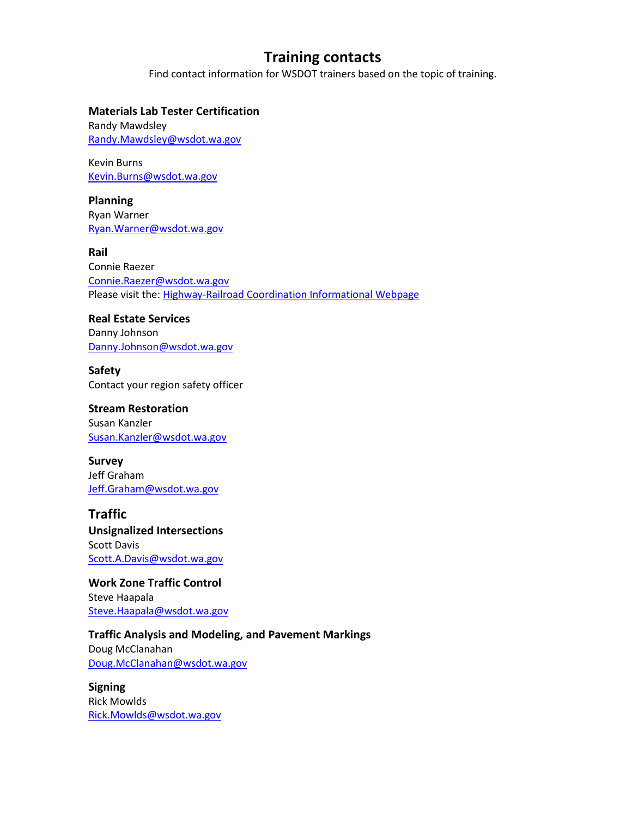Find contact information for WSDOT trainers based on the topic of training.

#### **Materials Lab Tester Certification**

Randy Mawdsley [Randy.Mawdsley@wsdot.wa.gov](mailto:Randy.Mawdsley@wsdot.wa.gov)

Kevin Burns [Kevin.Burns@wsdot.wa.gov](mailto:Kevin.Burns@wsdot.wa.gov)

**Planning** Ryan Warner [Ryan.Warner@wsdot.wa.gov](mailto:Ryan.Warner@wsdot.wa.gov)

**Rail** Connie Raezer [Connie.Raezer@wsdot.wa.gov](mailto:Connie.Raezer@wsdot.wa.gov) Please visit the: [Highway-Railroad Coordination Informational Webpage](https://wsdot.wa.gov/engineering-standards/design-topics/utilities-railroads-agreements/highway-railroad-coordination)

**Real Estate Services** Danny Johnson [Danny.Johnson@wsdot.wa.gov](mailto:Danny.Johnson@wsdot.wa.gov)

**Safety** Contact your region safety officer

## **Stream Restoration**

Susan Kanzler [Susan.Kanzler@wsdot.wa.gov](mailto:Susan.Kanzler@wsdot.wa.gov)

**Survey** Jeff Graham [Jeff.Graham@wsdot.wa.gov](mailto:Jeff.Graham@wsdot.wa.gov)

**Traffic Unsignalized Intersections** Scott Davis

[Scott.A.Davis@wsdot.wa.gov](mailto:Scott.A.Davis@wsdot.wa.gov)

**Work Zone Traffic Control** Steve Haapala [Steve.Haapala@wsdot.wa.gov](mailto:Steve.Haapala@wsdot.wa.gov)

**Traffic Analysis and Modeling, and Pavement Markings**

Doug McClanahan [Doug.McClanahan@wsdot.wa.gov](mailto:Doug.McClanahan@wsdot.wa.gov)

**Signing** Rick Mowlds [Rick.Mowlds@wsdot.wa.gov](mailto:Rick.Mowlds@wsdot.wa.gov)